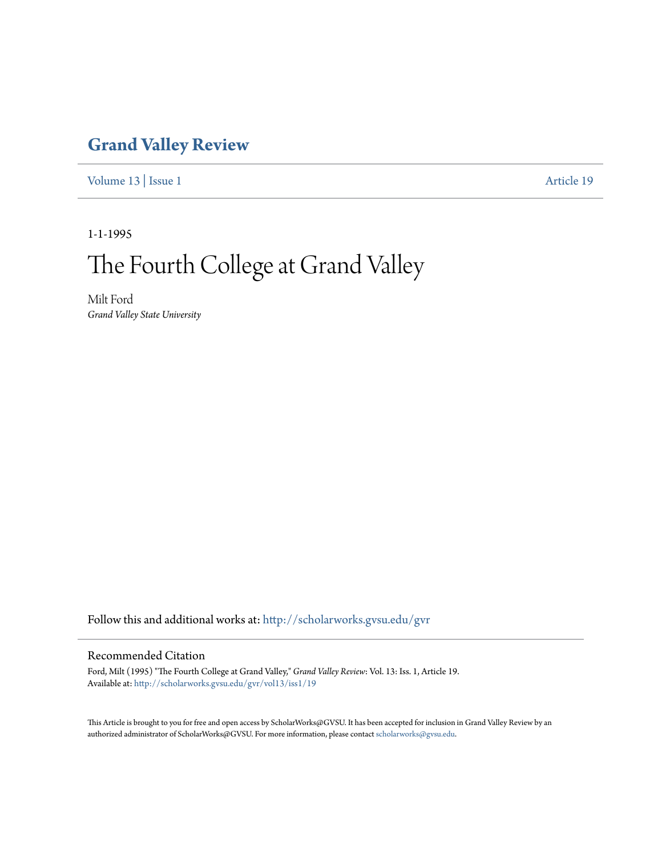## **[Grand Valley Review](http://scholarworks.gvsu.edu/gvr?utm_source=scholarworks.gvsu.edu%2Fgvr%2Fvol13%2Fiss1%2F19&utm_medium=PDF&utm_campaign=PDFCoverPages)**

[Volume 13](http://scholarworks.gvsu.edu/gvr/vol13?utm_source=scholarworks.gvsu.edu%2Fgvr%2Fvol13%2Fiss1%2F19&utm_medium=PDF&utm_campaign=PDFCoverPages) | [Issue 1](http://scholarworks.gvsu.edu/gvr/vol13/iss1?utm_source=scholarworks.gvsu.edu%2Fgvr%2Fvol13%2Fiss1%2F19&utm_medium=PDF&utm_campaign=PDFCoverPages) [Article 19](http://scholarworks.gvsu.edu/gvr/vol13/iss1/19?utm_source=scholarworks.gvsu.edu%2Fgvr%2Fvol13%2Fiss1%2F19&utm_medium=PDF&utm_campaign=PDFCoverPages)

1-1-1995

# The Fourth College at Grand Valley

Milt Ford *Grand Valley State University*

Follow this and additional works at: [http://scholarworks.gvsu.edu/gvr](http://scholarworks.gvsu.edu/gvr?utm_source=scholarworks.gvsu.edu%2Fgvr%2Fvol13%2Fiss1%2F19&utm_medium=PDF&utm_campaign=PDFCoverPages)

#### Recommended Citation

Ford, Milt (1995) "The Fourth College at Grand Valley," *Grand Valley Review*: Vol. 13: Iss. 1, Article 19. Available at: [http://scholarworks.gvsu.edu/gvr/vol13/iss1/19](http://scholarworks.gvsu.edu/gvr/vol13/iss1/19?utm_source=scholarworks.gvsu.edu%2Fgvr%2Fvol13%2Fiss1%2F19&utm_medium=PDF&utm_campaign=PDFCoverPages)

This Article is brought to you for free and open access by ScholarWorks@GVSU. It has been accepted for inclusion in Grand Valley Review by an authorized administrator of ScholarWorks@GVSU. For more information, please contact [scholarworks@gvsu.edu.](mailto:scholarworks@gvsu.edu)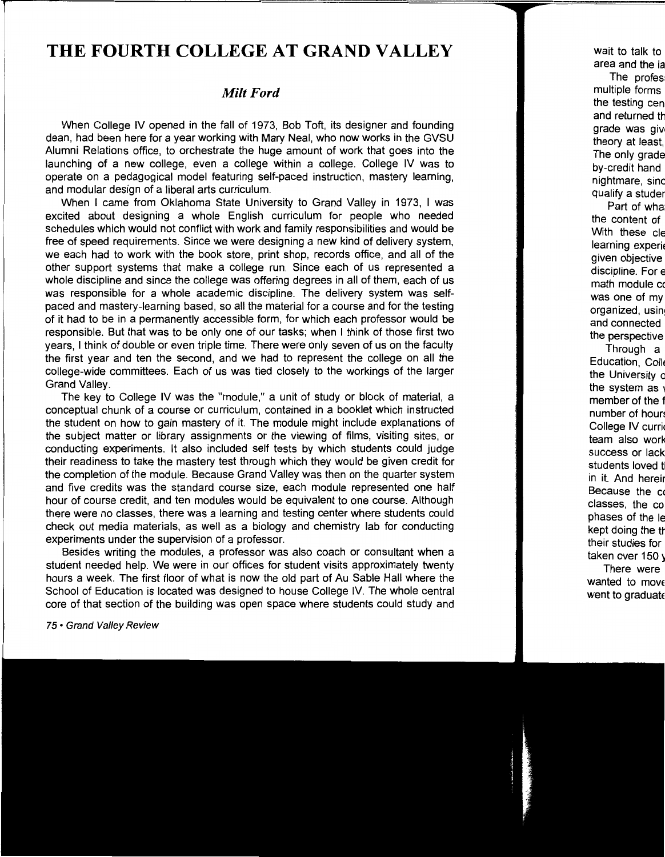### **THE FOURTH COLLEGE AT GRAND VALLEY**

#### *Milt Ford*

When College IV opened in the fall of 1973, Bob Toft, its designer and founding dean, had been here for a year working with Mary Neal, who now works in the GVSU Alumni Relations office, to orchestrate the huge amount of work that goes into the launching of a new college, even a college within a college. College IV was to operate on a pedagogical model featuring self-paced instruction, mastery learning, and modular design of a liberal arts curriculum.

When I came from Oklahoma State University to Grand Valley in 1973, I was excited about designing a whole English curriculum for people who needed schedules which would not conflict with work and family responsibilities and would be free of speed requirements. Since we were designing a new kind of delivery system, we each had to work with the book store, print shop, records office, and all of the other support systems that make a college run. Since each of us represented a whole discipline and since the college was offering degrees in all of them, each of us was responsible for a whole academic discipline. The delivery system was selfpaced and mastery-learning based, so all the material for a course and for the testing of it had to be in a permanently accessible form, for which each professor would be responsible. But that was to be only one of our tasks; when I think of those first two years, I think of double or even triple time. There were only seven of us on the faculty the first year and ten the second, and we had to represent the college on all the college-wide committees. Each of us was tied closely to the workings of the larger Grand Valley.

The key to College IV was the "module," a unit of study or block of material, a conceptual chunk of a course or curriculum, contained in a booklet which instructed the student on how to gain mastery of it. The module might include explanations of the subject matter or library assignments or the viewing of films, visiting sites, or conducting experiments. It also included self tests by which students could judge their readiness to take the mastery test through which they would be given credit for the completion of the module. Because Grand Valley was then on the quarter system and five credits was the standard course size, each module represented one half hour of course credit, and ten modules would be equivalent to one course. Although there were no classes, there was a learning and testing center where students could check out media materials, as well as a biology and chemistry lab for conducting experiments under the supervision of a professor.

Besides writing the modules, a professor was also coach or consultant when a student needed help. We were in our offices for student visits approximately twenty hours a week. The first floor of what is now the old part of Au Sable Hall where the School of Education is located was designed to house College IV. The whole central core of that section of the building was open space where students could study and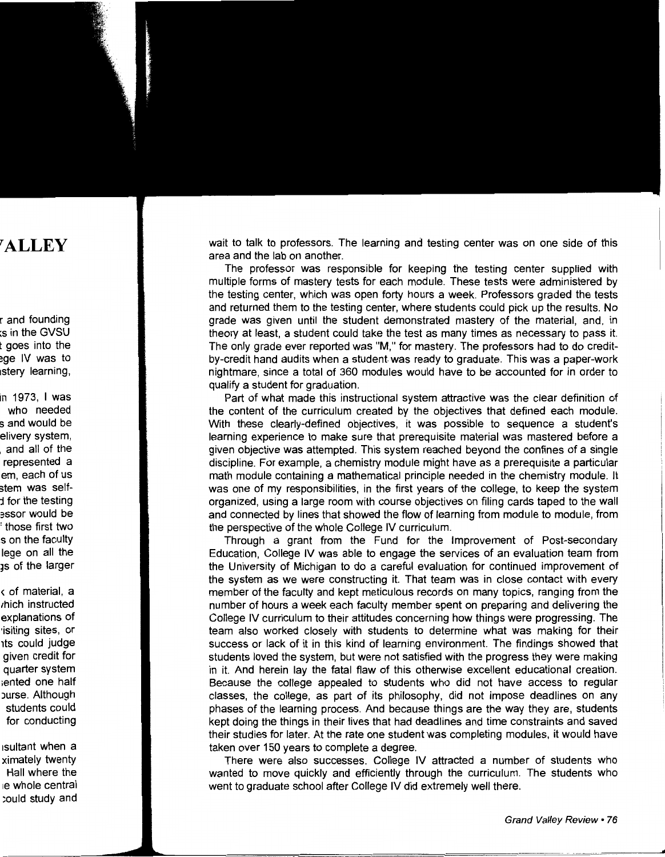wait to talk to professors. The learning and testing center was on one side of this area and the lab on another.

The professor was responsible for keeping the testing center supplied with multiple forms of mastery tests for each module. These tests were administered by the testing center, which was open forty hours a week. Professors graded the tests and returned them to the testing center, where students could pick up the results. No grade was given until the student demonstrated mastery of the material, and, in theory at least, a student could take the test as many times as necessary to pass it. The only grade ever reported was "M," for mastery. The professors had to do creditby-credit hand audits when a student was ready to graduate. This was a paper-work nightmare, since a total of 360 modules would have to be accounted for in order to qualify a student for graduation.

Part of what made this instructional system attractive was the clear definition of the content of the curriculum created by the objectives that defined each module. With these clearly-defined objectives, it was possible to sequence a student's learning experience to make sure that prerequisite material was mastered before a given objective was attempted. This system reached beyond the confines of a single discipline. For example, a chemistry module might have as a prerequisite a particular math module containing a mathematical principle needed in the chemistry module. It was one of my responsibilities, in the first years of the college, to keep the system organized, using a large room with course objectives on filing cards taped to the wall and connected by lines that showed the flow of learning from module to module, from the perspective of the whole College IV curriculum.

Through a grant from the Fund for the Improvement of Post-secondary Education, College IV was able to engage the services of an evaluation team from the University of Michigan to do a careful evaluation for continued improvement of the system as we were constructing it. That team was in close contact with every member of the faculty and kept meticulous records on many topics, ranging from the number of hours a week each faculty member spent on preparing and delivering the College IV curriculum to their attitudes concerning how things were progressing. The team also worked closely with students to determine what was making for their success or lack of it in this kind of learning environment. The findings showed that students loved the system, but were not satisfied with the progress they were making in it. And herein lay the fatal flaw of this otherwise excellent educational creation. Because the college appealed to students who did not have access to regular classes, the college, as part of its philosophy, did not impose deadlines on any phases of the learning process. And because things are the way they are, students kept doing the things in their lives that had deadlines and time constraints and saved their studies for later. At the rate one student was completing modules, it would have taken over 150 years to complete a degree.

There were also successes. College IV attracted a number of students who wanted to move quickly and efficiently through the curriculum. The students who went to graduate school after College IV did extremely well there.